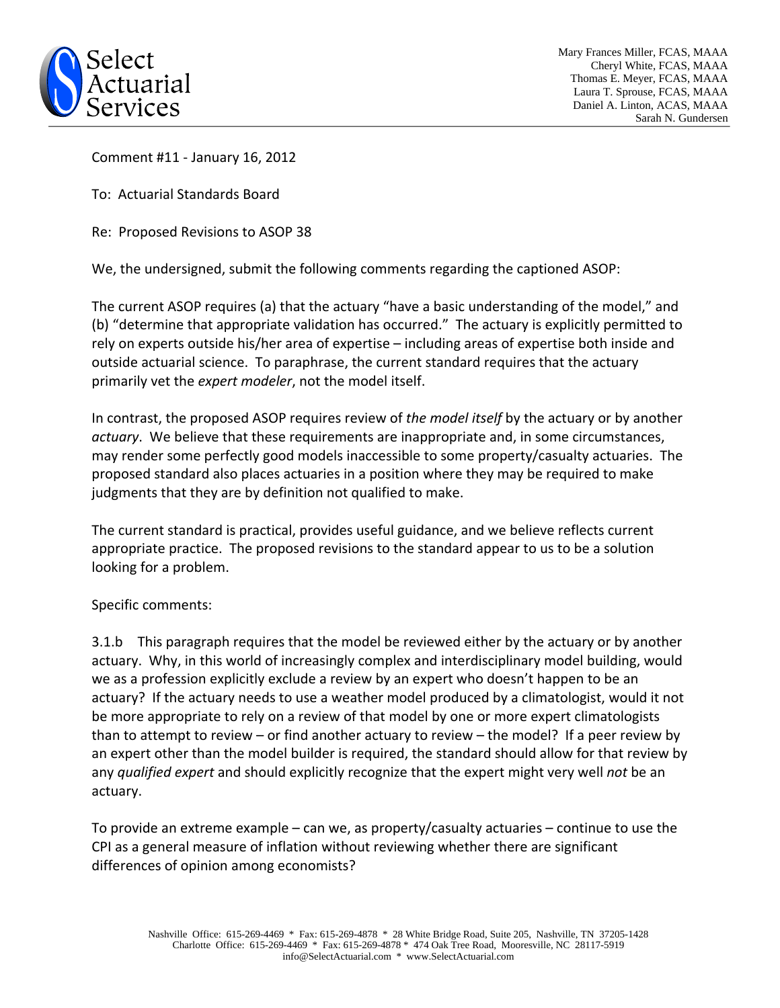

Mary Frances Miller, FCAS, MAAA Cheryl White, FCAS, MAAA Thomas E. Meyer, FCAS, MAAA Laura T. Sprouse, FCAS, MAAA Daniel A. Linton, ACAS, MAAA Sarah N. Gundersen

Comment #11 - January 16, 2012

To: Actuarial Standards Board

Re: Proposed Revisions to ASOP 38

We, the undersigned, submit the following comments regarding the captioned ASOP:

The current ASOP requires (a) that the actuary "have a basic understanding of the model," and (b) "determine that appropriate validation has occurred." The actuary is explicitly permitted to rely on experts outside his/her area of expertise – including areas of expertise both inside and outside actuarial science. To paraphrase, the current standard requires that the actuary primarily vet the *expert modeler*, not the model itself.

In contrast, the proposed ASOP requires review of *the model itself* by the actuary or by another *actuary*. We believe that these requirements are inappropriate and, in some circumstances, may render some perfectly good models inaccessible to some property/casualty actuaries. The proposed standard also places actuaries in a position where they may be required to make judgments that they are by definition not qualified to make.

The current standard is practical, provides useful guidance, and we believe reflects current appropriate practice. The proposed revisions to the standard appear to us to be a solution looking for a problem.

## Specific comments:

3.1.b This paragraph requires that the model be reviewed either by the actuary or by another actuary. Why, in this world of increasingly complex and interdisciplinary model building, would we as a profession explicitly exclude a review by an expert who doesn't happen to be an actuary? If the actuary needs to use a weather model produced by a climatologist, would it not be more appropriate to rely on a review of that model by one or more expert climatologists than to attempt to review – or find another actuary to review – the model? If a peer review by an expert other than the model builder is required, the standard should allow for that review by any *qualified expert* and should explicitly recognize that the expert might very well *not* be an actuary.

To provide an extreme example – can we, as property/casualty actuaries – continue to use the CPI as a general measure of inflation without reviewing whether there are significant differences of opinion among economists?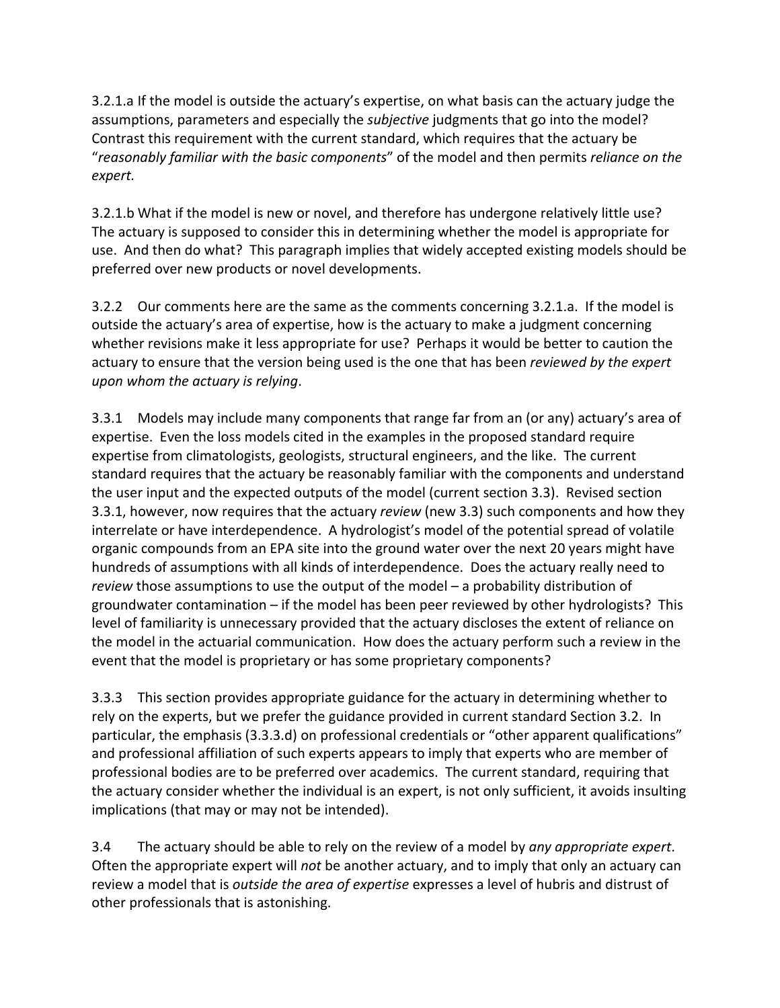3.2.1.a If the model is outside the actuary's expertise, on what basis can the actuary judge the assumptions, parameters and especially the *subjective* judgments that go into the model? Contrast this requirement with the current standard, which requires that the actuary be "*reasonably familiar with the basic components*" of the model and then permits *reliance on the expert.*

3.2.1.b What if the model is new or novel, and therefore has undergone relatively little use? The actuary is supposed to consider this in determining whether the model is appropriate for use. And then do what? This paragraph implies that widely accepted existing models should be preferred over new products or novel developments.

3.2.2 Our comments here are the same as the comments concerning 3.2.1.a. If the model is outside the actuary's area of expertise, how is the actuary to make a judgment concerning whether revisions make it less appropriate for use? Perhaps it would be better to caution the actuary to ensure that the version being used is the one that has been *reviewed by the expert upon whom the actuary is relying*.

3.3.1 Models may include many components that range far from an (or any) actuary's area of expertise. Even the loss models cited in the examples in the proposed standard require expertise from climatologists, geologists, structural engineers, and the like. The current standard requires that the actuary be reasonably familiar with the components and understand the user input and the expected outputs of the model (current section 3.3). Revised section 3.3.1, however, now requires that the actuary *review* (new 3.3) such components and how they interrelate or have interdependence. A hydrologist's model of the potential spread of volatile organic compounds from an EPA site into the ground water over the next 20 years might have hundreds of assumptions with all kinds of interdependence. Does the actuary really need to *review* those assumptions to use the output of the model – a probability distribution of groundwater contamination – if the model has been peer reviewed by other hydrologists? This level of familiarity is unnecessary provided that the actuary discloses the extent of reliance on the model in the actuarial communication. How does the actuary perform such a review in the event that the model is proprietary or has some proprietary components?

3.3.3 This section provides appropriate guidance for the actuary in determining whether to rely on the experts, but we prefer the guidance provided in current standard Section 3.2. In particular, the emphasis (3.3.3.d) on professional credentials or "other apparent qualifications" and professional affiliation of such experts appears to imply that experts who are member of professional bodies are to be preferred over academics. The current standard, requiring that the actuary consider whether the individual is an expert, is not only sufficient, it avoids insulting implications (that may or may not be intended).

3.4 The actuary should be able to rely on the review of a model by *any appropriate expert*. Often the appropriate expert will *not* be another actuary, and to imply that only an actuary can review a model that is *outside the area of expertise* expresses a level of hubris and distrust of other professionals that is astonishing.